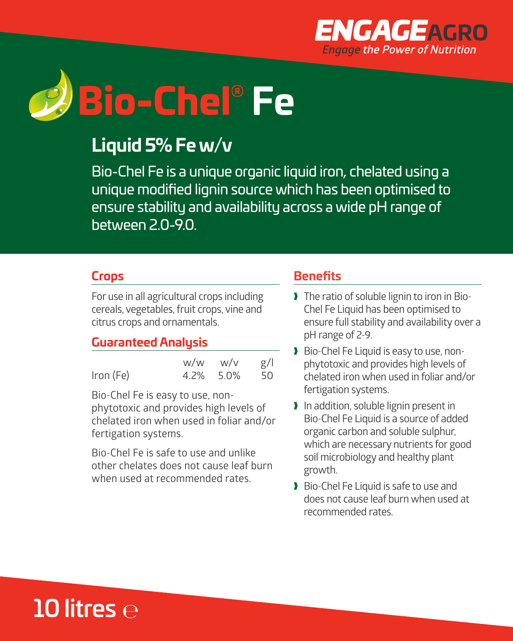



# **Liquid 5% Fe w/v**

Bio-Chel Fe is a unique organic liquid iron, chelated using a unique modified lignin source which has been optimised to ensure stability and availability across a wide pH range of between 2.0-9.0.

## **Crops**

For use in all agricultural crops including cereals, vegetables, fruit crops, vine and citrus crops and ornamentals.

## **Guaranteed Analysis**

|           | w/w       | w/v | g/ |
|-----------|-----------|-----|----|
| Iron (Fe) | 4.2% 5.0% |     | 50 |

Bio-Chel Fe is easy to use, nonphytotoxic and provides high levels of chelated iron when used in foliar and/or fertigation systems.

Bio-Chel Fe is safe to use and unlike other chelates does not cause leaf burn when used at recommended rates.

### **Benefits**

- I The ratio of soluble lignin to iron in Bio-Chel Fe Liquid has been optimised to ensure full stability and availability over a pH range of 2-9.
- Bio-Chel Fe Liquid is easy to use, nonphytotoxic and provides high levels of chelated iron when used in foliar and/or fertigation systems.
- I In addition, soluble lignin present in Bio-Chel Fe Liquid is a source of added organic carbon and soluble sulphur, which are necessary nutrients for good soil microbiology and healthy plant growth.
- Bio-Chel Fe Liquid is safe to use and does not cause leaf burn when used at recommended rates.

# 10 litres  $\ominus$